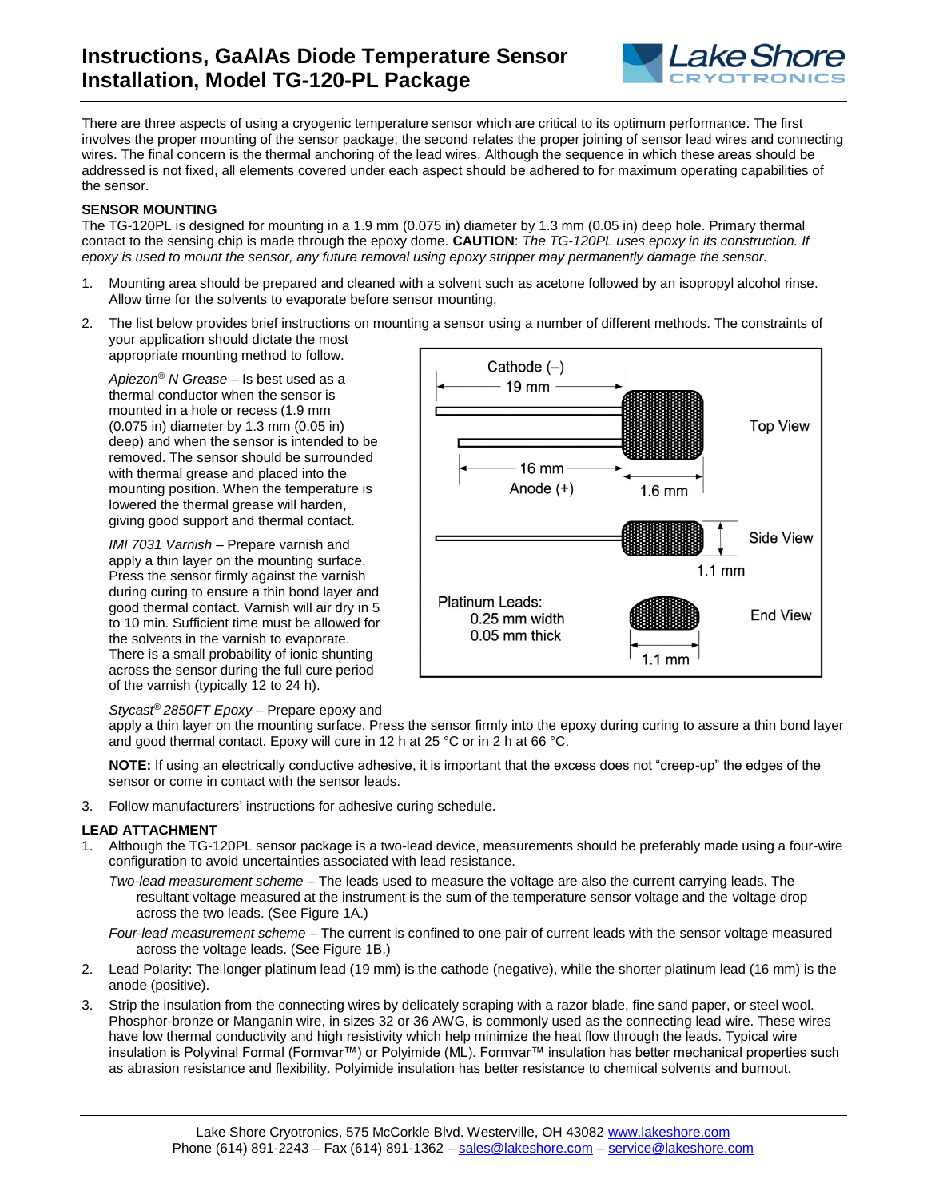

There are three aspects of using a cryogenic temperature sensor which are critical to its optimum performance. The first involves the proper mounting of the sensor package, the second relates the proper joining of sensor lead wires and connecting wires. The final concern is the thermal anchoring of the lead wires. Although the sequence in which these areas should be addressed is not fixed, all elements covered under each aspect should be adhered to for maximum operating capabilities of the sensor.

## **SENSOR MOUNTING**

The TG-120PL is designed for mounting in a 1.9 mm (0.075 in) diameter by 1.3 mm (0.05 in) deep hole. Primary thermal contact to the sensing chip is made through the epoxy dome. **CAUTION**: *The TG-120PL uses epoxy in its construction. If epoxy is used to mount the sensor, any future removal using epoxy stripper may permanently damage the sensor.*

- 1. Mounting area should be prepared and cleaned with a solvent such as acetone followed by an isopropyl alcohol rinse. Allow time for the solvents to evaporate before sensor mounting.
- 2. The list below provides brief instructions on mounting a sensor using a number of different methods. The constraints of your application should dictate the most appropriate mounting method to follow.

*Apiezon® N Grease* – Is best used as a thermal conductor when the sensor is mounted in a hole or recess (1.9 mm (0.075 in) diameter by 1.3 mm (0.05 in) deep) and when the sensor is intended to be removed. The sensor should be surrounded with thermal grease and placed into the mounting position. When the temperature is lowered the thermal grease will harden, giving good support and thermal contact.

*IMI 7031 Varnish* – Prepare varnish and apply a thin layer on the mounting surface. Press the sensor firmly against the varnish during curing to ensure a thin bond layer and good thermal contact. Varnish will air dry in 5 to 10 min. Sufficient time must be allowed for the solvents in the varnish to evaporate. There is a small probability of ionic shunting across the sensor during the full cure period of the varnish (typically 12 to 24 h).



*Stycast® 2850FT Epoxy* – Prepare epoxy and

apply a thin layer on the mounting surface. Press the sensor firmly into the epoxy during curing to assure a thin bond layer and good thermal contact. Epoxy will cure in 12 h at 25 °C or in 2 h at 66 °C.

**NOTE:** If using an electrically conductive adhesive, it is important that the excess does not "creep-up" the edges of the sensor or come in contact with the sensor leads.

3. Follow manufacturers' instructions for adhesive curing schedule.

## **LEAD ATTACHMENT**

1. Although the TG-120PL sensor package is a two-lead device, measurements should be preferably made using a four-wire configuration to avoid uncertainties associated with lead resistance.

*Two-lead measurement scheme* – The leads used to measure the voltage are also the current carrying leads. The resultant voltage measured at the instrument is the sum of the temperature sensor voltage and the voltage drop across the two leads. (See Figure 1A.)

*Four-lead measurement scheme* – The current is confined to one pair of current leads with the sensor voltage measured across the voltage leads. (See Figure 1B.)

- 2. Lead Polarity: The longer platinum lead (19 mm) is the cathode (negative), while the shorter platinum lead (16 mm) is the anode (positive).
- 3. Strip the insulation from the connecting wires by delicately scraping with a razor blade, fine sand paper, or steel wool. Phosphor-bronze or Manganin wire, in sizes 32 or 36 AWG, is commonly used as the connecting lead wire. These wires have low thermal conductivity and high resistivity which help minimize the heat flow through the leads. Typical wire insulation is Polyvinal Formal (Formvar™) or Polyimide (ML). Formvar™ insulation has better mechanical properties such as abrasion resistance and flexibility. Polyimide insulation has better resistance to chemical solvents and burnout.